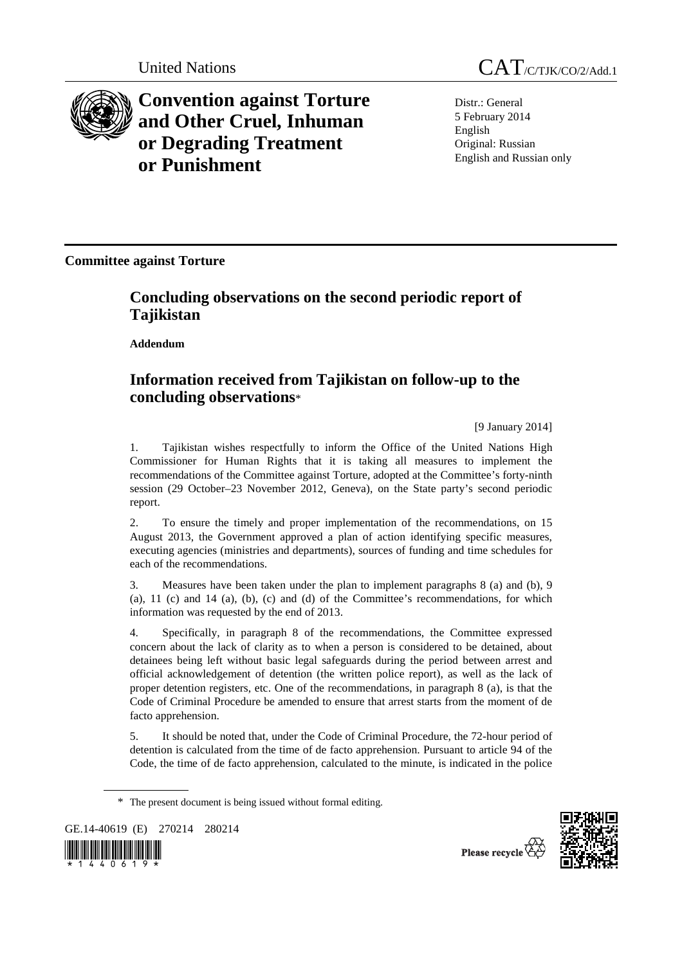

**Convention against Torture and Other Cruel, Inhuman or Degrading Treatment or Punishment**

Distr.: General 5 February 2014 English Original: Russian English and Russian only

**Committee against Torture** 

## **Concluding observations on the second periodic report of Tajikistan**

 **Addendum** 

## **Information received from Tajikistan on follow-up to the concluding observations**\*

[9 January 2014]

1. Tajikistan wishes respectfully to inform the Office of the United Nations High Commissioner for Human Rights that it is taking all measures to implement the recommendations of the Committee against Torture, adopted at the Committee's forty-ninth session (29 October–23 November 2012, Geneva), on the State party's second periodic report.

2. To ensure the timely and proper implementation of the recommendations, on 15 August 2013, the Government approved a plan of action identifying specific measures, executing agencies (ministries and departments), sources of funding and time schedules for each of the recommendations.

3. Measures have been taken under the plan to implement paragraphs 8 (a) and (b), 9 (a),  $11$  (c) and  $14$  (a), (b), (c) and (d) of the Committee's recommendations, for which information was requested by the end of 2013.

4. Specifically, in paragraph 8 of the recommendations, the Committee expressed concern about the lack of clarity as to when a person is considered to be detained, about detainees being left without basic legal safeguards during the period between arrest and official acknowledgement of detention (the written police report), as well as the lack of proper detention registers, etc. One of the recommendations, in paragraph 8 (a), is that the Code of Criminal Procedure be amended to ensure that arrest starts from the moment of de facto apprehension.

5. It should be noted that, under the Code of Criminal Procedure, the 72-hour period of detention is calculated from the time of de facto apprehension. Pursuant to article 94 of the Code, the time of de facto apprehension, calculated to the minute, is indicated in the police

GE.14-40619 (E) 270214 280214





Please recycle

<sup>\*</sup> The present document is being issued without formal editing.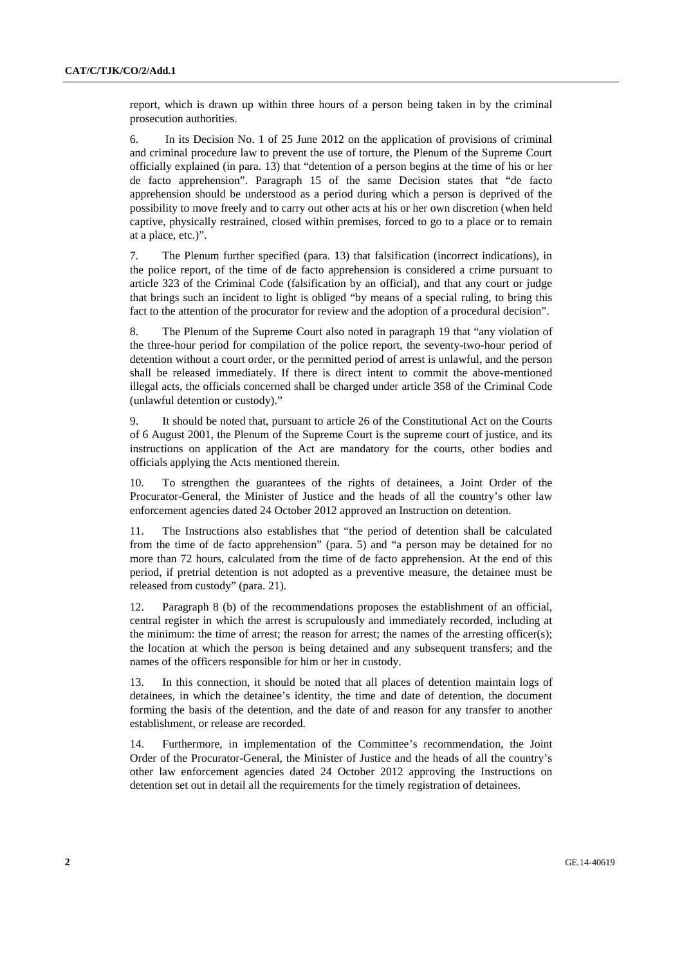report, which is drawn up within three hours of a person being taken in by the criminal prosecution authorities.

6. In its Decision No. 1 of 25 June 2012 on the application of provisions of criminal and criminal procedure law to prevent the use of torture, the Plenum of the Supreme Court officially explained (in para. 13) that "detention of a person begins at the time of his or her de facto apprehension". Paragraph 15 of the same Decision states that "de facto apprehension should be understood as a period during which a person is deprived of the possibility to move freely and to carry out other acts at his or her own discretion (when held captive, physically restrained, closed within premises, forced to go to a place or to remain at a place, etc.)".

7. The Plenum further specified (para. 13) that falsification (incorrect indications), in the police report, of the time of de facto apprehension is considered a crime pursuant to article 323 of the Criminal Code (falsification by an official), and that any court or judge that brings such an incident to light is obliged "by means of a special ruling, to bring this fact to the attention of the procurator for review and the adoption of a procedural decision".

8. The Plenum of the Supreme Court also noted in paragraph 19 that "any violation of the three-hour period for compilation of the police report, the seventy-two-hour period of detention without a court order, or the permitted period of arrest is unlawful, and the person shall be released immediately. If there is direct intent to commit the above-mentioned illegal acts, the officials concerned shall be charged under article 358 of the Criminal Code (unlawful detention or custody)."

9. It should be noted that, pursuant to article 26 of the Constitutional Act on the Courts of 6 August 2001, the Plenum of the Supreme Court is the supreme court of justice, and its instructions on application of the Act are mandatory for the courts, other bodies and officials applying the Acts mentioned therein.

10. To strengthen the guarantees of the rights of detainees, a Joint Order of the Procurator-General, the Minister of Justice and the heads of all the country's other law enforcement agencies dated 24 October 2012 approved an Instruction on detention.

11. The Instructions also establishes that "the period of detention shall be calculated from the time of de facto apprehension" (para. 5) and "a person may be detained for no more than 72 hours, calculated from the time of de facto apprehension. At the end of this period, if pretrial detention is not adopted as a preventive measure, the detainee must be released from custody" (para. 21).

12. Paragraph 8 (b) of the recommendations proposes the establishment of an official, central register in which the arrest is scrupulously and immediately recorded, including at the minimum: the time of arrest; the reason for arrest; the names of the arresting officer(s); the location at which the person is being detained and any subsequent transfers; and the names of the officers responsible for him or her in custody.

13. In this connection, it should be noted that all places of detention maintain logs of detainees, in which the detainee's identity, the time and date of detention, the document forming the basis of the detention, and the date of and reason for any transfer to another establishment, or release are recorded.

14. Furthermore, in implementation of the Committee's recommendation, the Joint Order of the Procurator-General, the Minister of Justice and the heads of all the country's other law enforcement agencies dated 24 October 2012 approving the Instructions on detention set out in detail all the requirements for the timely registration of detainees.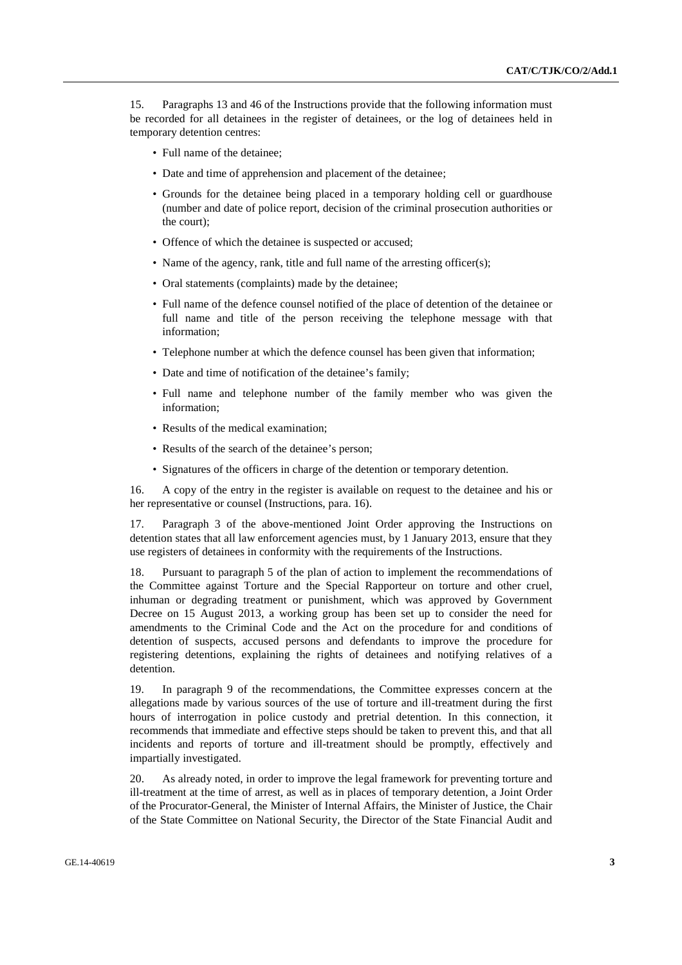15. Paragraphs 13 and 46 of the Instructions provide that the following information must be recorded for all detainees in the register of detainees, or the log of detainees held in temporary detention centres:

- Full name of the detainee;
- Date and time of apprehension and placement of the detainee:
- Grounds for the detainee being placed in a temporary holding cell or guardhouse (number and date of police report, decision of the criminal prosecution authorities or the court);
- Offence of which the detainee is suspected or accused;
- Name of the agency, rank, title and full name of the arresting officer(s);
- Oral statements (complaints) made by the detainee;
- Full name of the defence counsel notified of the place of detention of the detainee or full name and title of the person receiving the telephone message with that information;
- Telephone number at which the defence counsel has been given that information;
- Date and time of notification of the detainee's family;
- Full name and telephone number of the family member who was given the information;
- Results of the medical examination;
- Results of the search of the detainee's person:
- Signatures of the officers in charge of the detention or temporary detention.

16. A copy of the entry in the register is available on request to the detainee and his or her representative or counsel (Instructions, para. 16).

17. Paragraph 3 of the above-mentioned Joint Order approving the Instructions on detention states that all law enforcement agencies must, by 1 January 2013, ensure that they use registers of detainees in conformity with the requirements of the Instructions.

18. Pursuant to paragraph 5 of the plan of action to implement the recommendations of the Committee against Torture and the Special Rapporteur on torture and other cruel, inhuman or degrading treatment or punishment, which was approved by Government Decree on 15 August 2013, a working group has been set up to consider the need for amendments to the Criminal Code and the Act on the procedure for and conditions of detention of suspects, accused persons and defendants to improve the procedure for registering detentions, explaining the rights of detainees and notifying relatives of a detention.

19. In paragraph 9 of the recommendations, the Committee expresses concern at the allegations made by various sources of the use of torture and ill-treatment during the first hours of interrogation in police custody and pretrial detention. In this connection, it recommends that immediate and effective steps should be taken to prevent this, and that all incidents and reports of torture and ill-treatment should be promptly, effectively and impartially investigated.

20. As already noted, in order to improve the legal framework for preventing torture and ill-treatment at the time of arrest, as well as in places of temporary detention, a Joint Order of the Procurator-General, the Minister of Internal Affairs, the Minister of Justice, the Chair of the State Committee on National Security, the Director of the State Financial Audit and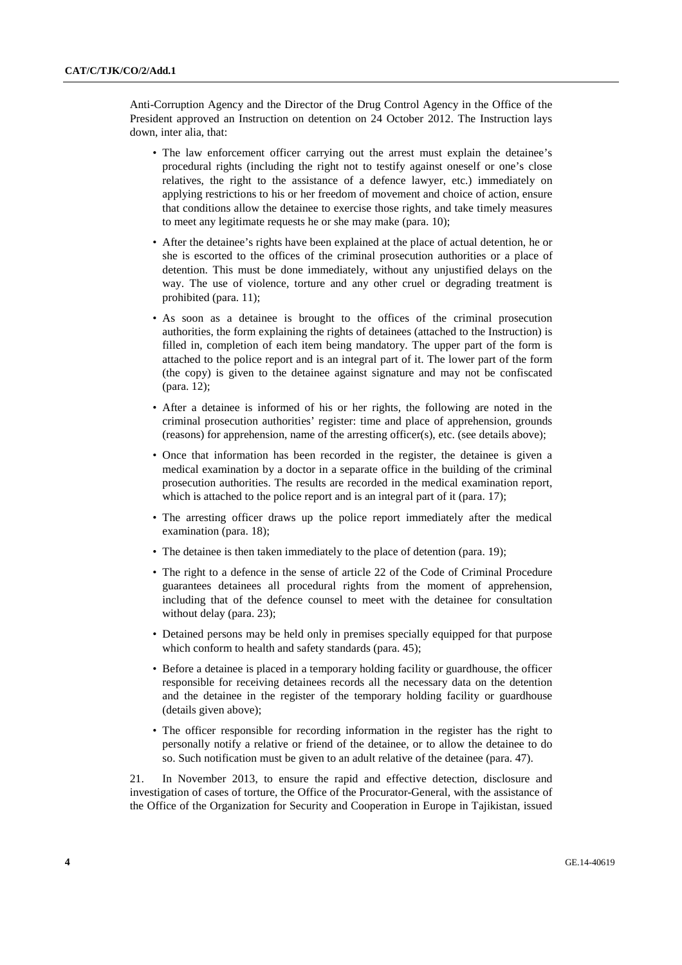Anti-Corruption Agency and the Director of the Drug Control Agency in the Office of the President approved an Instruction on detention on 24 October 2012. The Instruction lays down, inter alia, that:

- The law enforcement officer carrying out the arrest must explain the detainee's procedural rights (including the right not to testify against oneself or one's close relatives, the right to the assistance of a defence lawyer, etc.) immediately on applying restrictions to his or her freedom of movement and choice of action, ensure that conditions allow the detainee to exercise those rights, and take timely measures to meet any legitimate requests he or she may make (para. 10);
- After the detainee's rights have been explained at the place of actual detention, he or she is escorted to the offices of the criminal prosecution authorities or a place of detention. This must be done immediately, without any unjustified delays on the way. The use of violence, torture and any other cruel or degrading treatment is prohibited (para. 11);
- As soon as a detainee is brought to the offices of the criminal prosecution authorities, the form explaining the rights of detainees (attached to the Instruction) is filled in, completion of each item being mandatory. The upper part of the form is attached to the police report and is an integral part of it. The lower part of the form (the copy) is given to the detainee against signature and may not be confiscated (para. 12);
- After a detainee is informed of his or her rights, the following are noted in the criminal prosecution authorities' register: time and place of apprehension, grounds (reasons) for apprehension, name of the arresting officer(s), etc. (see details above);
- Once that information has been recorded in the register, the detainee is given a medical examination by a doctor in a separate office in the building of the criminal prosecution authorities. The results are recorded in the medical examination report, which is attached to the police report and is an integral part of it (para. 17);
- The arresting officer draws up the police report immediately after the medical examination (para. 18);
- The detainee is then taken immediately to the place of detention (para. 19);
- The right to a defence in the sense of article 22 of the Code of Criminal Procedure guarantees detainees all procedural rights from the moment of apprehension, including that of the defence counsel to meet with the detainee for consultation without delay (para. 23);
- Detained persons may be held only in premises specially equipped for that purpose which conform to health and safety standards (para. 45);
- Before a detainee is placed in a temporary holding facility or guardhouse, the officer responsible for receiving detainees records all the necessary data on the detention and the detainee in the register of the temporary holding facility or guardhouse (details given above);
- The officer responsible for recording information in the register has the right to personally notify a relative or friend of the detainee, or to allow the detainee to do so. Such notification must be given to an adult relative of the detainee (para. 47).

21. In November 2013, to ensure the rapid and effective detection, disclosure and investigation of cases of torture, the Office of the Procurator-General, with the assistance of the Office of the Organization for Security and Cooperation in Europe in Tajikistan, issued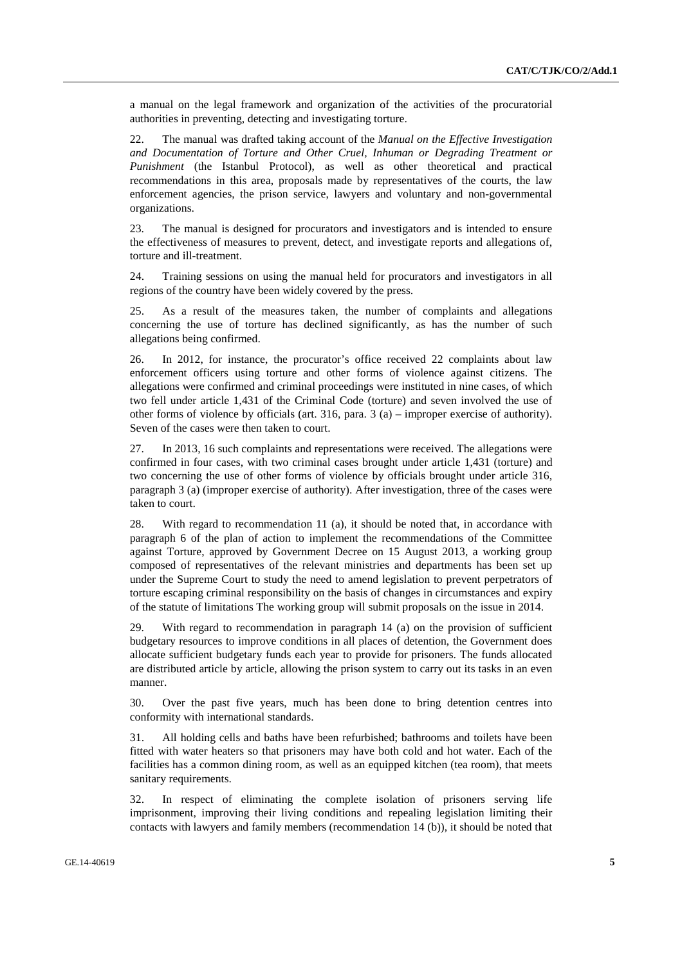a manual on the legal framework and organization of the activities of the procuratorial authorities in preventing, detecting and investigating torture.

22. The manual was drafted taking account of the *Manual on the Effective Investigation and Documentation of Torture and Other Cruel, Inhuman or Degrading Treatment or Punishment* (the Istanbul Protocol), as well as other theoretical and practical recommendations in this area, proposals made by representatives of the courts, the law enforcement agencies, the prison service, lawyers and voluntary and non-governmental organizations.

23. The manual is designed for procurators and investigators and is intended to ensure the effectiveness of measures to prevent, detect, and investigate reports and allegations of, torture and ill-treatment.

24. Training sessions on using the manual held for procurators and investigators in all regions of the country have been widely covered by the press.

25. As a result of the measures taken, the number of complaints and allegations concerning the use of torture has declined significantly, as has the number of such allegations being confirmed.

26. In 2012, for instance, the procurator's office received 22 complaints about law enforcement officers using torture and other forms of violence against citizens. The allegations were confirmed and criminal proceedings were instituted in nine cases, of which two fell under article 1,431 of the Criminal Code (torture) and seven involved the use of other forms of violence by officials (art. 316, para. 3 (a) – improper exercise of authority). Seven of the cases were then taken to court.

27. In 2013, 16 such complaints and representations were received. The allegations were confirmed in four cases, with two criminal cases brought under article 1,431 (torture) and two concerning the use of other forms of violence by officials brought under article 316, paragraph 3 (a) (improper exercise of authority). After investigation, three of the cases were taken to court.

28. With regard to recommendation 11 (a), it should be noted that, in accordance with paragraph 6 of the plan of action to implement the recommendations of the Committee against Torture, approved by Government Decree on 15 August 2013, a working group composed of representatives of the relevant ministries and departments has been set up under the Supreme Court to study the need to amend legislation to prevent perpetrators of torture escaping criminal responsibility on the basis of changes in circumstances and expiry of the statute of limitations The working group will submit proposals on the issue in 2014.

29. With regard to recommendation in paragraph 14 (a) on the provision of sufficient budgetary resources to improve conditions in all places of detention, the Government does allocate sufficient budgetary funds each year to provide for prisoners. The funds allocated are distributed article by article, allowing the prison system to carry out its tasks in an even manner.

30. Over the past five years, much has been done to bring detention centres into conformity with international standards.

31. All holding cells and baths have been refurbished; bathrooms and toilets have been fitted with water heaters so that prisoners may have both cold and hot water. Each of the facilities has a common dining room, as well as an equipped kitchen (tea room), that meets sanitary requirements.

32. In respect of eliminating the complete isolation of prisoners serving life imprisonment, improving their living conditions and repealing legislation limiting their contacts with lawyers and family members (recommendation 14 (b)), it should be noted that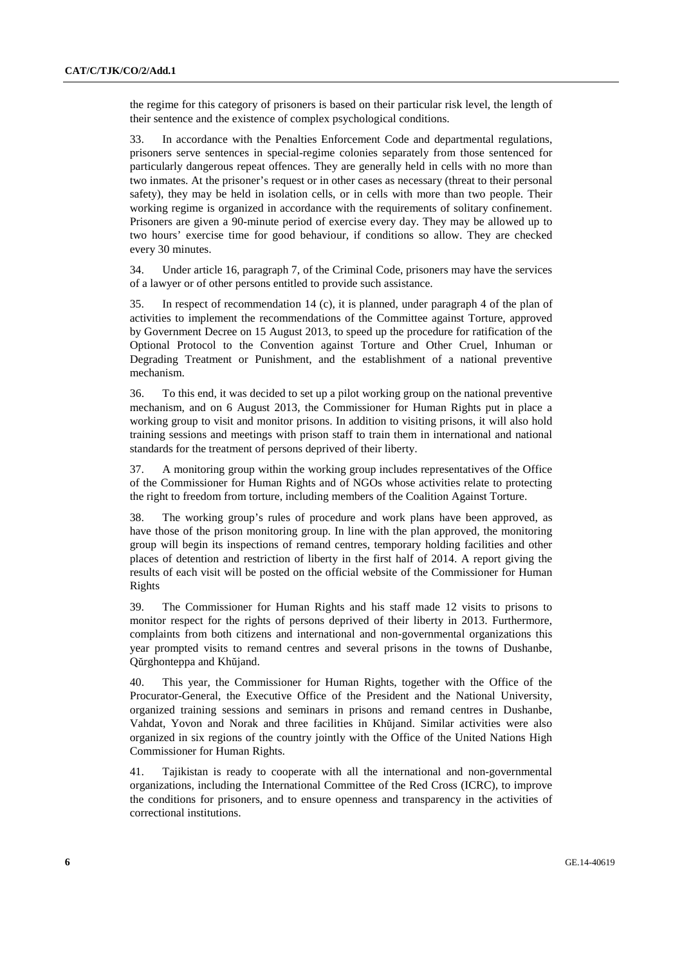the regime for this category of prisoners is based on their particular risk level, the length of their sentence and the existence of complex psychological conditions.

33. In accordance with the Penalties Enforcement Code and departmental regulations, prisoners serve sentences in special-regime colonies separately from those sentenced for particularly dangerous repeat offences. They are generally held in cells with no more than two inmates. At the prisoner's request or in other cases as necessary (threat to their personal safety), they may be held in isolation cells, or in cells with more than two people. Their working regime is organized in accordance with the requirements of solitary confinement. Prisoners are given a 90-minute period of exercise every day. They may be allowed up to two hours' exercise time for good behaviour, if conditions so allow. They are checked every 30 minutes.

34. Under article 16, paragraph 7, of the Criminal Code, prisoners may have the services of a lawyer or of other persons entitled to provide such assistance.

35. In respect of recommendation 14 (c), it is planned, under paragraph 4 of the plan of activities to implement the recommendations of the Committee against Torture, approved by Government Decree on 15 August 2013, to speed up the procedure for ratification of the Optional Protocol to the Convention against Torture and Other Cruel, Inhuman or Degrading Treatment or Punishment, and the establishment of a national preventive mechanism.

36. To this end, it was decided to set up a pilot working group on the national preventive mechanism, and on 6 August 2013, the Commissioner for Human Rights put in place a working group to visit and monitor prisons. In addition to visiting prisons, it will also hold training sessions and meetings with prison staff to train them in international and national standards for the treatment of persons deprived of their liberty.

37. A monitoring group within the working group includes representatives of the Office of the Commissioner for Human Rights and of NGOs whose activities relate to protecting the right to freedom from torture, including members of the Coalition Against Torture.

38. The working group's rules of procedure and work plans have been approved, as have those of the prison monitoring group. In line with the plan approved, the monitoring group will begin its inspections of remand centres, temporary holding facilities and other places of detention and restriction of liberty in the first half of 2014. A report giving the results of each visit will be posted on the official website of the Commissioner for Human Rights

39. The Commissioner for Human Rights and his staff made 12 visits to prisons to monitor respect for the rights of persons deprived of their liberty in 2013. Furthermore, complaints from both citizens and international and non-governmental organizations this year prompted visits to remand centres and several prisons in the towns of Dushanbe, Qŭrghonteppa and Khŭjand.

40. This year, the Commissioner for Human Rights, together with the Office of the Procurator-General, the Executive Office of the President and the National University, organized training sessions and seminars in prisons and remand centres in Dushanbe, Vahdat, Yovon and Norak and three facilities in Khŭjand. Similar activities were also organized in six regions of the country jointly with the Office of the United Nations High Commissioner for Human Rights.

41. Tajikistan is ready to cooperate with all the international and non-governmental organizations, including the International Committee of the Red Cross (ICRC), to improve the conditions for prisoners, and to ensure openness and transparency in the activities of correctional institutions.